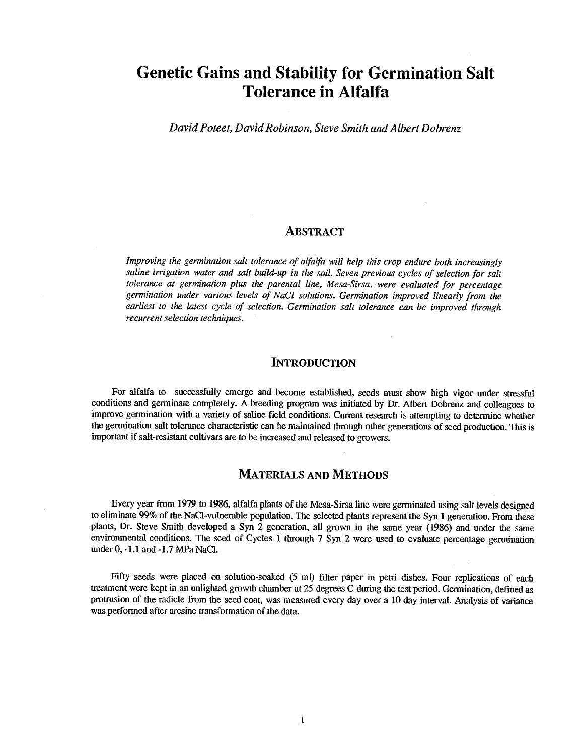# Genetic Gains and Stability for Germination Salt Tolerance in Alfalfa

David Poteet, David Robinson, Steve Smith and Albert Dobrenz

### ABSTRACT

Improving the germination salt tolerance of alfalfa will help this crop endure both increasingly saline irrigation water and salt build-up in the soil. Seven previous cycles of selection for salt tolerance at germination plus the parental line, Mesa-Sirsa, were evaluated for percentage germination under various levels of NaCI solutions. Germination improved linearly from the earliest to the latest cycle of selection. Germination salt tolerance can be improved through recurrent selection techniques.

#### **INTRODUCTION**

For alfalfa to successfully emerge and become established, seeds must show high vigor under stressful conditions and germinate completely. A breeding program was initiated by Dr. Albert Dobrenz and colleagues to improve germination with a variety of saline field conditions. Current research is attempting to determine whether the germination salt tolerance characteristic can be maintained through other generations of seed production. This is important if salt- resistant cultivars are to be increased and released to growers.

#### MATERIALS AND METHODS

Every year from 1979 to 1986, alfalfa plants of the Mesa -Sirsa line were germinated using salt levels designed to eliminate 99% of the NaCl-vulnerable population. The selected plants represent the Syn 1 generation. From these plants, Dr. Steve Smith developed a Syn 2 generation, all grown in the same year (1986) and under the same environmental conditions. The seed of Cycles 1 through 7 Syn 2 were used to evaluate percentage germination under 4, -1.1 and -1.7 MPa NaCI.

Fifty seeds were placed on solution-soaked (5 ml) filter paper in petri dishes. Four replications of each treatment were kept in an unlighted growth chamber at 25 degrees C during the test period. Germination, defined as protrusion of the radicle from the seed coat, was measured every day over a 10 day interval. Analysis of variance was performed after arcsine transformation of the data.